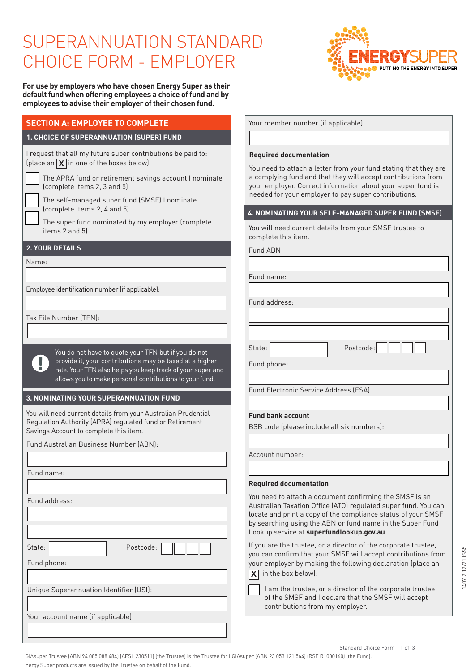# SUPERANNUATION STANDARD CHOICE FORM - EMPLOYER

**For use by employers who have chosen Energy Super as their default fund when offering employees a choice of fund and by employees to advise their employer of their chosen fund.**

## **SECTION A: EMPLOYEE TO COMPLETE**

#### **1. CHOICE OF SUPERANNUATION (SUPER) FUND**

I request that all my future super contributions be paid to: (place an  $\boxed{\mathbf{X}}$  in one of the boxes below)

 The APRA fund or retirement savings account I nominate (complete items 2, 3 and 5)

 The self-managed super fund (SMSF) I nominate (complete items 2, 4 and 5)

The super fund nominated by my employer (complete items 2 and 5)

#### **2. YOUR DETAILS**

Name:

Employee identification number (if applicable):

Tax File Number (TFN):

You do not have to quote your TFN but if you do not provide it, your contributions may be taxed at a higher rate. Your TFN also helps you keep track of your super and allows you to make personal contributions to your fund.

#### **3. NOMINATING YOUR SUPERANNUATION FUND**

You will need current details from your Australian Prudential Regulation Authority (APRA) regulated fund or Retirement Savings Account to complete this item.

Fund Australian Business Number (ABN):

| Fund name:                              |  |  |  |  |  |  |  |
|-----------------------------------------|--|--|--|--|--|--|--|
|                                         |  |  |  |  |  |  |  |
| Fund address:                           |  |  |  |  |  |  |  |
|                                         |  |  |  |  |  |  |  |
|                                         |  |  |  |  |  |  |  |
| State:<br>Postcode:                     |  |  |  |  |  |  |  |
| Fund phone:                             |  |  |  |  |  |  |  |
|                                         |  |  |  |  |  |  |  |
| Unique Superannuation Identifier (USI): |  |  |  |  |  |  |  |
|                                         |  |  |  |  |  |  |  |
| Your account name (if applicable)       |  |  |  |  |  |  |  |
|                                         |  |  |  |  |  |  |  |
|                                         |  |  |  |  |  |  |  |

Your member number (if applicable)

#### **Required documentation**

You need to attach a letter from your fund stating that they are a complying fund and that they will accept contributions from your employer. Correct information about your super fund is needed for your employer to pay super contributions.

RGY S

PUTTING THE ENERGY INTO SUPER

#### **4. NOMINATING YOUR SELF-MANAGED SUPER FUND (SMSF)**

You will need current details from your SMSF trustee to complete this item.

Fund ABN:

Fund name:

Fund address:

State: | Postcode:

Fund phone:

Fund Electronic Service Address (ESA)

#### **Fund bank account**

BSB code (please include all six numbers):

Account number:

#### **Required documentation**

You need to attach a document confirming the SMSF is an Australian Taxation Office (ATO) regulated super fund. You can locate and print a copy of the compliance status of your SMSF by searching using the ABN or fund name in the Super Fund Lookup service at **superfundlookup.gov.au**

If you are the trustee, or a director of the corporate trustee, you can confirm that your SMSF will accept contributions from your employer by making the following declaration (place an **X** in the box below):

I am the trustee, or a director of the corporate trustee of the SMSF and I declare that the SMSF will accept contributions from my employer.

LGIAsuper Trustee (ABN 94 085 088 484) (AFSL 230511) (the Trustee) is the Trustee for LGIAsuper (ABN 23 053 121 564) (RSE R1000160) (the Fund). Energy Super products are issued by the Trustee on behalf of the Fund.

# Standard Choice Form 1 of 3



 $\sqrt{ }$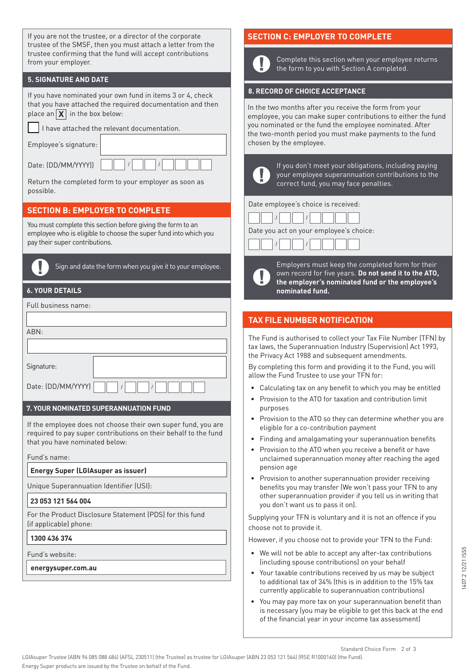| If you are not the trustee, or a director of the corporate<br>trustee of the SMSF, then you must attach a letter from the<br>trustee confirming that the fund will accept contributions<br>from your employer.             |                                                       |  |  |  |  |  |  |  |
|----------------------------------------------------------------------------------------------------------------------------------------------------------------------------------------------------------------------------|-------------------------------------------------------|--|--|--|--|--|--|--|
| <b>5. SIGNATURE AND DATE</b>                                                                                                                                                                                               |                                                       |  |  |  |  |  |  |  |
| If you have nominated your own fund in items 3 or 4, check<br>that you have attached the required documentation and then<br>place an $\boxed{\mathsf{X}}$ in the box below:<br>I have attached the relevant documentation. |                                                       |  |  |  |  |  |  |  |
| Employee's signature:                                                                                                                                                                                                      |                                                       |  |  |  |  |  |  |  |
| Date: (DD/MM/YYYY))                                                                                                                                                                                                        |                                                       |  |  |  |  |  |  |  |
|                                                                                                                                                                                                                            | Return the completed form to your employer as soon as |  |  |  |  |  |  |  |

**SECTION B: EMPLOYER TO COMPLETE**

You must complete this section before giving the form to an employee who is eligible to choose the super fund into which you pay their super contributions.



possible.

Sign and date the form when you give it to your employee.

#### **6. YOUR DETAILS**

| Full business name: |  |  |  |  |
|---------------------|--|--|--|--|
|                     |  |  |  |  |
| ABN:                |  |  |  |  |
|                     |  |  |  |  |
| Signature:          |  |  |  |  |
| Date: (DD/MM/YYYY)  |  |  |  |  |

#### **7. YOUR NOMINATED SUPERANNUATION FUND**

If the employee does not choose their own super fund, you are required to pay super contributions on their behalf to the fund that you have nominated below:

Fund's name:

#### **Energy Super (LGIAsuper as issuer)**

Unique Superannuation Identifier (USI):

#### **23 053 121 564 004**

For the Product Disclosure Statement (PDS) for this fund (if applicable) phone:

#### **1300 436 374**

Fund's website:

**energysuper.com.au**

# **SECTION C: EMPLOYER TO COMPLETE**

Complete this section when your employee returns the form to you with Section A completed.

#### **8. RECORD OF CHOICE ACCEPTANCE**

In the two months after you receive the form from your employee, you can make super contributions to either the fund you nominated or the fund the employee nominated. After the two-month period you must make payments to the fund chosen by the employee.



If you don't meet your obligations, including paying your employee superannuation contributions to the correct fund, you may face penalties.

Date employee's choice is received:







Employers must keep the completed form for their own record for five years. **Do not send it to the ATO, the employer's nominated fund or the employee's nominated fund.** 

## **TAX FILE NUMBER NOTIFICATION**

The Fund is authorised to collect your Tax File Number (TFN) by tax laws, the Superannuation Industry (Supervision) Act 1993, the Privacy Act 1988 and subsequent amendments.

By completing this form and providing it to the Fund, you will allow the Fund Trustee to use your TFN for:

- Calculating tax on any benefit to which you may be entitled
- Provision to the ATO for taxation and contribution limit purposes
- Provision to the ATO so they can determine whether you are eligible for a co-contribution payment
- Finding and amalgamating your superannuation benefits
- Provision to the ATO when you receive a benefit or have unclaimed superannuation money after reaching the aged pension age
- Provision to another superannuation provider receiving benefits you may transfer (We won't pass your TFN to any other superannuation provider if you tell us in writing that you don't want us to pass it on).

Supplying your TFN is voluntary and it is not an offence if you choose not to provide it.

However, if you choose not to provide your TFN to the Fund:

- We will not be able to accept any after-tax contributions (including spouse contributions) on your behalf
- Your taxable contributions received by us may be subject to additional tax of 34% (this is in addition to the 15% tax currently applicable to superannuation contributions)
- You may pay more tax on your superannuation benefit than is necessary (you may be eligible to get this back at the end of the financial year in your income tax assessment)